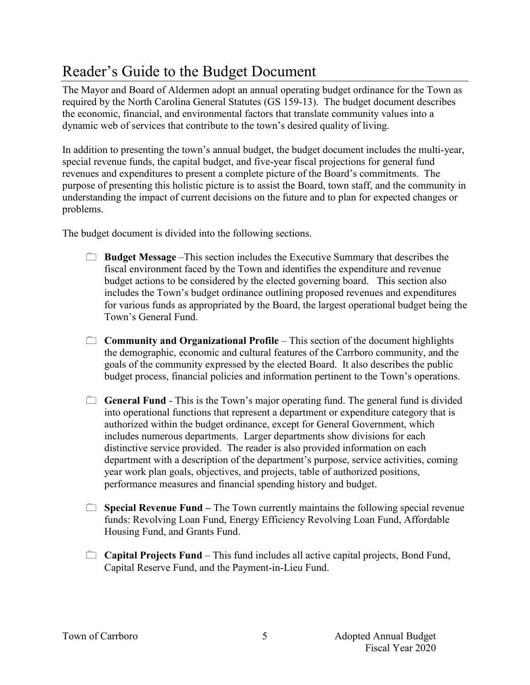## Reader's Guide to the Budget Document

The Mayor and Board of Aldermen adopt an annual operating budget ordinance for the Town as required by the North Carolina General Statutes (GS 159-13). The budget document describes the economic, financial, and environmental factors that translate community values into a dynamic web of services that contribute to the town's desired quality of living.

In addition to presenting the town's annual budget, the budget document includes the multi-year, special revenue funds, the capital budget, and five-year fiscal projections for general fund revenues and expenditures to present a complete picture of the Board's commitments. The purpose of presenting this holistic picture is to assist the Board, town staff, and the community in understanding the impact of current decisions on the future and to plan for expected changes or problems.

The budget document is divided into the following sections.

- **Budget Message** –This section includes the Executive Summary that describes the fiscal environment faced by the Town and identifies the expenditure and revenue budget actions to be considered by the elected governing board. This section also includes the Town's budget ordinance outlining proposed revenues and expenditures for various funds as appropriated by the Board, the largest operational budget being the Town's General Fund.
- **Community and Organizational Profile** This section of the document highlights the demographic, economic and cultural features of the Carrboro community, and the goals of the community expressed by the elected Board. It also describes the public budget process, financial policies and information pertinent to the Town's operations.
- **General Fund** This is the Town's major operating fund. The general fund is divided into operational functions that represent a department or expenditure category that is authorized within the budget ordinance, except for General Government, which includes numerous departments. Larger departments show divisions for each distinctive service provided. The reader is also provided information on each department with a description of the department's purpose, service activities, coming year work plan goals, objectives, and projects, table of authorized positions, performance measures and financial spending history and budget.
- **Special Revenue Fund** The Town currently maintains the following special revenue funds: Revolving Loan Fund, Energy Efficiency Revolving Loan Fund, Affordable Housing Fund, and Grants Fund.
- **Capital Projects Fund**  This fund includes all active capital projects, Bond Fund, Capital Reserve Fund, and the Payment-in-Lieu Fund.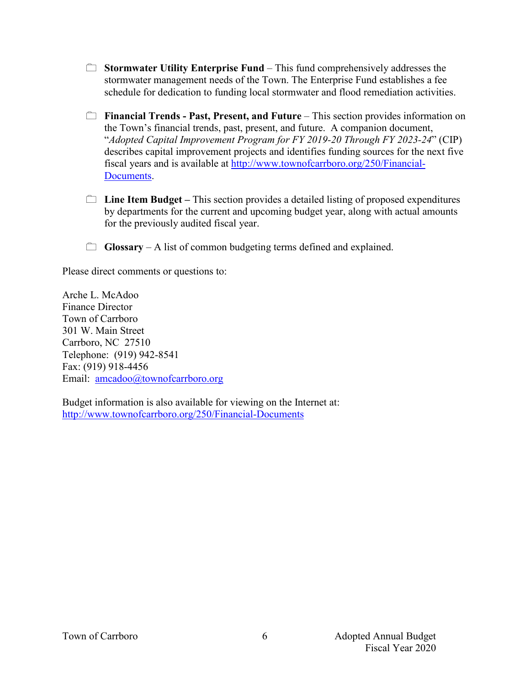- **Stormwater Utility Enterprise Fund** This fund comprehensively addresses the stormwater management needs of the Town. The Enterprise Fund establishes a fee schedule for dedication to funding local stormwater and flood remediation activities.
- **Financial Trends Past, Present, and Future** This section provides information on the Town's financial trends, past, present, and future. A companion document, "*Adopted Capital Improvement Program for FY 2019-20 Through FY 2023-24*" (CIP) describes capital improvement projects and identifies funding sources for the next five fiscal years and is available at http://www.townofcarrboro.org/250/Financial-Documents.
- **Line Item Budget –** This section provides a detailed listing of proposed expenditures by departments for the current and upcoming budget year, along with actual amounts for the previously audited fiscal year.
- **Glossary** A list of common budgeting terms defined and explained.

Please direct comments or questions to:

Arche L. McAdoo Finance Director Town of Carrboro 301 W. Main Street Carrboro, NC 27510 Telephone: (919) 942-8541 Fax: (919) 918-4456 Email: amcadoo@townofcarrboro.org

Budget information is also available for viewing on the Internet at: http://www.townofcarrboro.org/250/Financial-Documents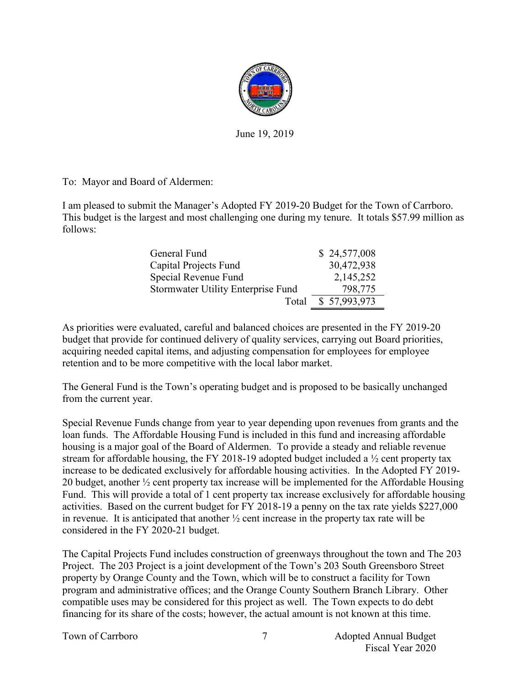

June 19, 2019

To: Mayor and Board of Aldermen:

I am pleased to submit the Manager's Adopted FY 2019-20 Budget for the Town of Carrboro. This budget is the largest and most challenging one during my tenure. It totals \$57.99 million as follows:

| General Fund                       | \$24,577,008 |
|------------------------------------|--------------|
| Capital Projects Fund              | 30,472,938   |
| Special Revenue Fund               | 2,145,252    |
| Stormwater Utility Enterprise Fund | 798,775      |
| Total                              | \$57,993,973 |

As priorities were evaluated, careful and balanced choices are presented in the FY 2019-20 budget that provide for continued delivery of quality services, carrying out Board priorities, acquiring needed capital items, and adjusting compensation for employees for employee retention and to be more competitive with the local labor market.

The General Fund is the Town's operating budget and is proposed to be basically unchanged from the current year.

Special Revenue Funds change from year to year depending upon revenues from grants and the loan funds. The Affordable Housing Fund is included in this fund and increasing affordable housing is a major goal of the Board of Aldermen. To provide a steady and reliable revenue stream for affordable housing, the FY 2018-19 adopted budget included a ½ cent property tax increase to be dedicated exclusively for affordable housing activities. In the Adopted FY 2019- 20 budget, another ½ cent property tax increase will be implemented for the Affordable Housing Fund. This will provide a total of 1 cent property tax increase exclusively for affordable housing activities. Based on the current budget for FY 2018-19 a penny on the tax rate yields \$227,000 in revenue. It is anticipated that another  $\frac{1}{2}$  cent increase in the property tax rate will be considered in the FY 2020-21 budget.

The Capital Projects Fund includes construction of greenways throughout the town and The 203 Project. The 203 Project is a joint development of the Town's 203 South Greensboro Street property by Orange County and the Town, which will be to construct a facility for Town program and administrative offices; and the Orange County Southern Branch Library. Other compatible uses may be considered for this project as well. The Town expects to do debt financing for its share of the costs; however, the actual amount is not known at this time.

Town of Carrboro **Adopted Annual Budget** 7 Adopted Annual Budget Fiscal Year 2020